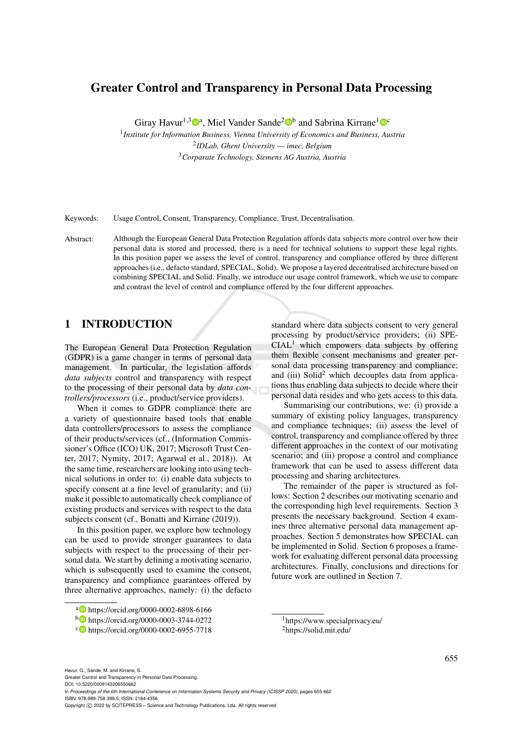# Greater Control and Transparency in Personal Data Processing

Giray Havur<sup>1,3</sup><sup>0</sup><sup>a</sup>, Miel Vander Sande<sup>2</sup><sup>ob</sup> and Sabrina Kirrane<sup>1</sup><sup>oc</sup>

1 *Institute for Information Business, Vienna University of Economics and Business, Austria* 2 *IDLab, Ghent University –– imec, Belgium* <sup>3</sup>*Corparate Technology, Siemens AG Austria, Austria*

Keywords: Usage Control, Consent, Transparency, Compliance, Trust, Decentralisation.

Abstract: Although the European General Data Protection Regulation affords data subjects more control over how their personal data is stored and processed, there is a need for technical solutions to support these legal rights. In this position paper we assess the level of control, transparency and compliance offered by three different approaches (i.e., defacto standard, SPECIAL, Solid). We propose a layered decentralised architecture based on combining SPECIAL and Solid. Finally, we introduce our usage control framework, which we use to compare and contrast the level of control and compliance offered by the four different approaches.

## 1 INTRODUCTION

The European General Data Protection Regulation (GDPR) is a game changer in terms of personal data management. In particular, the legislation affords *data subjects* control and transparency with respect to the processing of their personal data by *data controllers/processors* (i.e., product/service providers).

When it comes to GDPR compliance there are a variety of questionnaire based tools that enable data controllers/processors to assess the compliance of their products/services (cf., (Information Commissioner's Office (ICO) UK, 2017; Microsoft Trust Center, 2017; Nymity, 2017; Agarwal et al., 2018)). At the same time, researchers are looking into using technical solutions in order to: (i) enable data subjects to specify consent at a fine level of granularity; and (ii) make it possible to automatically check compliance of existing products and services with respect to the data subjects consent (cf., Bonatti and Kirrane (2019)).

In this position paper, we explore how technology can be used to provide stronger guarantees to data subjects with respect to the processing of their personal data. We start by defining a motivating scenario, which is subsequently used to examine the consent, transparency and compliance guarantees offered by three alternative approaches, namely: (i) the defacto

processing by product/service providers; (ii) SPE- $CIAL<sup>1</sup>$  which empowers data subjects by offering them flexible consent mechanisms and greater personal data processing transparency and compliance; and (iii)  $Solid<sup>2</sup>$  which decouples data from applications thus enabling data subjects to decide where their personal data resides and who gets access to this data.

standard where data subjects consent to very general

Summarising our contributions, we: (i) provide a summary of existing policy languages, transparency and compliance techniques; (ii) assess the level of control, transparency and compliance offered by three different approaches in the context of our motivating scenario; and (iii) propose a control and compliance framework that can be used to assess different data processing and sharing architectures.

The remainder of the paper is structured as follows: Section 2 describes our motivating scenario and the corresponding high level requirements. Section 3 presents the necessary background. Section 4 examines three alternative personal data management approaches. Section 5 demonstrates how SPECIAL can be implemented in Solid. Section 6 proposes a framework for evaluating different personal data processing architectures. Finally, conclusions and directions for future work are outlined in Section 7.

<sup>1</sup>https://www.specialprivacy.eu/ <sup>2</sup>https://solid.mit.edu/

a https://orcid.org/0000-0002-6898-6166

<sup>b</sup> https://orcid.org/0000-0003-3744-0272

<sup>c</sup> https://orcid.org/0000-0002-6955-7718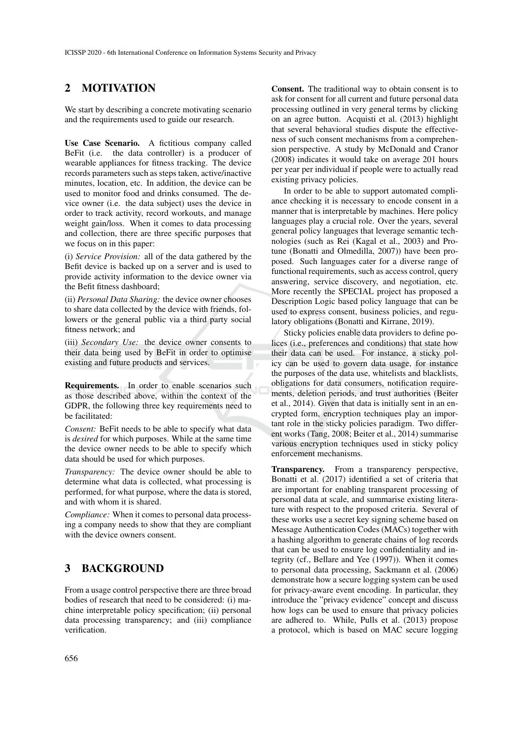## 2 MOTIVATION

We start by describing a concrete motivating scenario and the requirements used to guide our research.

Use Case Scenario. A fictitious company called BeFit (i.e. the data controller) is a producer of wearable appliances for fitness tracking. The device records parameters such as steps taken, active/inactive minutes, location, etc. In addition, the device can be used to monitor food and drinks consumed. The device owner (i.e. the data subject) uses the device in order to track activity, record workouts, and manage weight gain/loss. When it comes to data processing and collection, there are three specific purposes that we focus on in this paper:

(i) *Service Provision:* all of the data gathered by the Befit device is backed up on a server and is used to provide activity information to the device owner via the Befit fitness dashboard;

(ii) *Personal Data Sharing:* the device owner chooses to share data collected by the device with friends, followers or the general public via a third party social fitness network; and

(iii) *Secondary Use:* the device owner consents to their data being used by BeFit in order to optimise existing and future products and services.

Requirements. In order to enable scenarios such as those described above, within the context of the GDPR, the following three key requirements need to be facilitated:

*Consent:* BeFit needs to be able to specify what data is *desired* for which purposes. While at the same time the device owner needs to be able to specify which data should be used for which purposes.

*Transparency:* The device owner should be able to determine what data is collected, what processing is performed, for what purpose, where the data is stored, and with whom it is shared.

*Compliance:* When it comes to personal data processing a company needs to show that they are compliant with the device owners consent.

### 3 BACKGROUND

From a usage control perspective there are three broad bodies of research that need to be considered: (i) machine interpretable policy specification; (ii) personal data processing transparency; and (iii) compliance verification.

Consent. The traditional way to obtain consent is to ask for consent for all current and future personal data processing outlined in very general terms by clicking on an agree button. Acquisti et al. (2013) highlight that several behavioral studies dispute the effectiveness of such consent mechanisms from a comprehension perspective. A study by McDonald and Cranor (2008) indicates it would take on average 201 hours per year per individual if people were to actually read existing privacy policies.

In order to be able to support automated compliance checking it is necessary to encode consent in a manner that is interpretable by machines. Here policy languages play a crucial role. Over the years, several general policy languages that leverage semantic technologies (such as Rei (Kagal et al., 2003) and Protune (Bonatti and Olmedilla, 2007)) have been proposed. Such languages cater for a diverse range of functional requirements, such as access control, query answering, service discovery, and negotiation, etc. More recently the SPECIAL project has proposed a Description Logic based policy language that can be used to express consent, business policies, and regulatory obligations (Bonatti and Kirrane, 2019).

Sticky policies enable data providers to define polices (i.e., preferences and conditions) that state how their data can be used. For instance, a sticky policy can be used to govern data usage, for instance the purposes of the data use, whitelists and blacklists, obligations for data consumers, notification requirements, deletion periods, and trust authorities (Beiter et al., 2014). Given that data is initially sent in an encrypted form, encryption techniques play an important role in the sticky policies paradigm. Two different works (Tang, 2008; Beiter et al., 2014) summarise various encryption techniques used in sticky policy enforcement mechanisms.

Transparency. From a transparency perspective, Bonatti et al. (2017) identified a set of criteria that are important for enabling transparent processing of personal data at scale, and summarise existing literature with respect to the proposed criteria. Several of these works use a secret key signing scheme based on Message Authentication Codes (MACs) together with a hashing algorithm to generate chains of log records that can be used to ensure log confidentiality and integrity (cf., Bellare and Yee (1997)). When it comes to personal data processing, Sackmann et al. (2006) demonstrate how a secure logging system can be used for privacy-aware event encoding. In particular, they introduce the "privacy evidence" concept and discuss how logs can be used to ensure that privacy policies are adhered to. While, Pulls et al. (2013) propose a protocol, which is based on MAC secure logging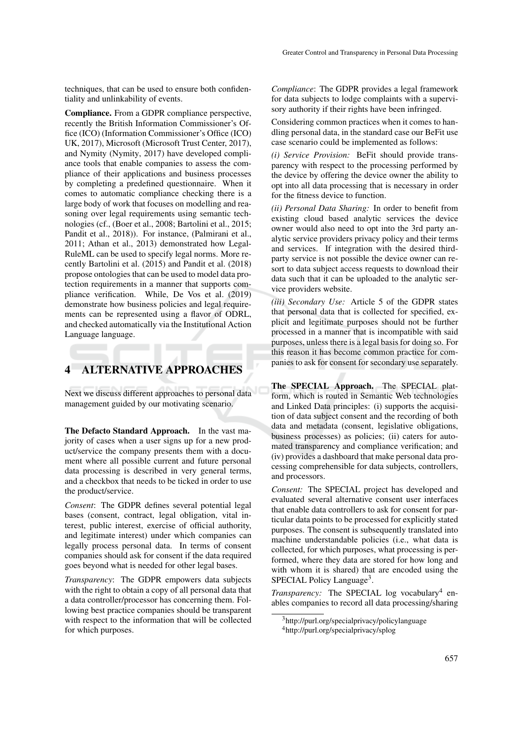techniques, that can be used to ensure both confidentiality and unlinkability of events.

Compliance. From a GDPR compliance perspective, recently the British Information Commissioner's Office (ICO) (Information Commissioner's Office (ICO) UK, 2017), Microsoft (Microsoft Trust Center, 2017), and Nymity (Nymity, 2017) have developed compliance tools that enable companies to assess the compliance of their applications and business processes by completing a predefined questionnaire. When it comes to automatic compliance checking there is a large body of work that focuses on modelling and reasoning over legal requirements using semantic technologies (cf., (Boer et al., 2008; Bartolini et al., 2015; Pandit et al., 2018)). For instance, (Palmirani et al., 2011; Athan et al., 2013) demonstrated how Legal-RuleML can be used to specify legal norms. More recently Bartolini et al. (2015) and Pandit et al. (2018) propose ontologies that can be used to model data protection requirements in a manner that supports compliance verification. While, De Vos et al. (2019) demonstrate how business policies and legal requirements can be represented using a flavor of ODRL, and checked automatically via the Institutional Action Language language.

## 4 ALTERNATIVE APPROACHES

Next we discuss different approaches to personal data management guided by our motivating scenario.

The Defacto Standard Approach. In the vast majority of cases when a user signs up for a new product/service the company presents them with a document where all possible current and future personal data processing is described in very general terms, and a checkbox that needs to be ticked in order to use the product/service.

*Consent*: The GDPR defines several potential legal bases (consent, contract, legal obligation, vital interest, public interest, exercise of official authority, and legitimate interest) under which companies can legally process personal data. In terms of consent companies should ask for consent if the data required goes beyond what is needed for other legal bases.

*Transparency*: The GDPR empowers data subjects with the right to obtain a copy of all personal data that a data controller/processor has concerning them. Following best practice companies should be transparent with respect to the information that will be collected for which purposes.

*Compliance*: The GDPR provides a legal framework for data subjects to lodge complaints with a supervisory authority if their rights have been infringed.

Considering common practices when it comes to handling personal data, in the standard case our BeFit use case scenario could be implemented as follows:

*(i) Service Provision:* BeFit should provide transparency with respect to the processing performed by the device by offering the device owner the ability to opt into all data processing that is necessary in order for the fitness device to function.

*(ii) Personal Data Sharing:* In order to benefit from existing cloud based analytic services the device owner would also need to opt into the 3rd party analytic service providers privacy policy and their terms and services. If integration with the desired thirdparty service is not possible the device owner can resort to data subject access requests to download their data such that it can be uploaded to the analytic service providers website.

*(iii) Secondary Use:* Article 5 of the GDPR states that personal data that is collected for specified, explicit and legitimate purposes should not be further processed in a manner that is incompatible with said purposes, unless there is a legal basis for doing so. For this reason it has become common practice for companies to ask for consent for secondary use separately.

The SPECIAL Approach. The SPECIAL platform, which is routed in Semantic Web technologies and Linked Data principles: (i) supports the acquisition of data subject consent and the recording of both data and metadata (consent, legislative obligations, business processes) as policies; (ii) caters for automated transparency and compliance verification; and (iv) provides a dashboard that make personal data processing comprehensible for data subjects, controllers, and processors.

*Consent:* The SPECIAL project has developed and evaluated several alternative consent user interfaces that enable data controllers to ask for consent for particular data points to be processed for explicitly stated purposes. The consent is subsequently translated into machine understandable policies (i.e., what data is collected, for which purposes, what processing is performed, where they data are stored for how long and with whom it is shared) that are encoded using the SPECIAL Policy Language<sup>3</sup>.

Transparency: The SPECIAL log vocabulary<sup>4</sup> enables companies to record all data processing/sharing

<sup>3</sup>http://purl.org/specialprivacy/policylanguage <sup>4</sup>http://purl.org/specialprivacy/splog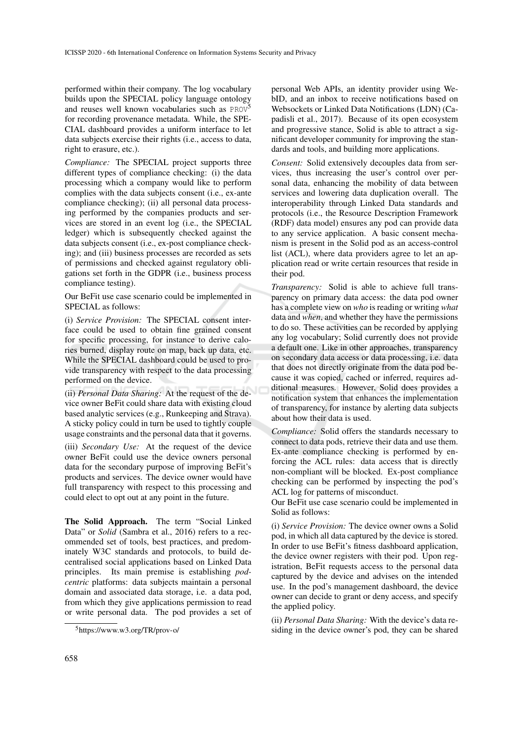performed within their company. The log vocabulary builds upon the SPECIAL policy language ontology and reuses well known vocabularies such as PROV<sup>5</sup> for recording provenance metadata. While, the SPE-CIAL dashboard provides a uniform interface to let data subjects exercise their rights (i.e., access to data, right to erasure, etc.).

*Compliance:* The SPECIAL project supports three different types of compliance checking: (i) the data processing which a company would like to perform complies with the data subjects consent (i.e., ex-ante compliance checking); (ii) all personal data processing performed by the companies products and services are stored in an event log (i.e., the SPECIAL ledger) which is subsequently checked against the data subjects consent (i.e., ex-post compliance checking); and (iii) business processes are recorded as sets of permissions and checked against regulatory obligations set forth in the GDPR (i.e., business process compliance testing).

Our BeFit use case scenario could be implemented in SPECIAL as follows:

(i) *Service Provision:* The SPECIAL consent interface could be used to obtain fine grained consent for specific processing, for instance to derive calories burned, display route on map, back up data, etc. While the SPECIAL dashboard could be used to provide transparency with respect to the data processing performed on the device.

(ii) *Personal Data Sharing:* At the request of the device owner BeFit could share data with existing cloud based analytic services (e.g., Runkeeping and Strava). A sticky policy could in turn be used to tightly couple usage constraints and the personal data that it governs.

(iii) *Secondary Use:* At the request of the device owner BeFit could use the device owners personal data for the secondary purpose of improving BeFit's products and services. The device owner would have full transparency with respect to this processing and could elect to opt out at any point in the future.

The Solid Approach. The term "Social Linked Data" or *Solid* (Sambra et al., 2016) refers to a recommended set of tools, best practices, and predominately W3C standards and protocols, to build decentralised social applications based on Linked Data principles. Its main premise is establishing *podcentric* platforms: data subjects maintain a personal domain and associated data storage, i.e. a data pod, from which they give applications permission to read or write personal data. The pod provides a set of

personal Web APIs, an identity provider using WebID, and an inbox to receive notifications based on Websockets or Linked Data Notifications (LDN) (Capadisli et al., 2017). Because of its open ecosystem and progressive stance, Solid is able to attract a significant developer community for improving the standards and tools, and building more applications.

*Consent:* Solid extensively decouples data from services, thus increasing the user's control over personal data, enhancing the mobility of data between services and lowering data duplication overall. The interoperability through Linked Data standards and protocols (i.e., the Resource Description Framework (RDF) data model) ensures any pod can provide data to any service application. A basic consent mechanism is present in the Solid pod as an access-control list (ACL), where data providers agree to let an application read or write certain resources that reside in their pod.

*Transparency:* Solid is able to achieve full transparency on primary data access: the data pod owner has a complete view on *who* is reading or writing *what* data and *when*, and whether they have the permissions to do so. These activities can be recorded by applying any log vocabulary; Solid currently does not provide a default one. Like in other approaches, transparency on secondary data access or data processing, i.e. data that does not directly originate from the data pod because it was copied, cached or inferred, requires additional measures. However, Solid does provides a notification system that enhances the implementation of transparency, for instance by alerting data subjects about how their data is used.

*Compliance:* Solid offers the standards necessary to connect to data pods, retrieve their data and use them. Ex-ante compliance checking is performed by enforcing the ACL rules: data access that is directly non-compliant will be blocked. Ex-post compliance checking can be performed by inspecting the pod's ACL log for patterns of misconduct.

Our BeFit use case scenario could be implemented in Solid as follows:

(i) *Service Provision:* The device owner owns a Solid pod, in which all data captured by the device is stored. In order to use BeFit's fitness dashboard application, the device owner registers with their pod. Upon registration, BeFit requests access to the personal data captured by the device and advises on the intended use. In the pod's management dashboard, the device owner can decide to grant or deny access, and specify the applied policy.

(ii) *Personal Data Sharing:* With the device's data residing in the device owner's pod, they can be shared

<sup>5</sup>https://www.w3.org/TR/prov-o/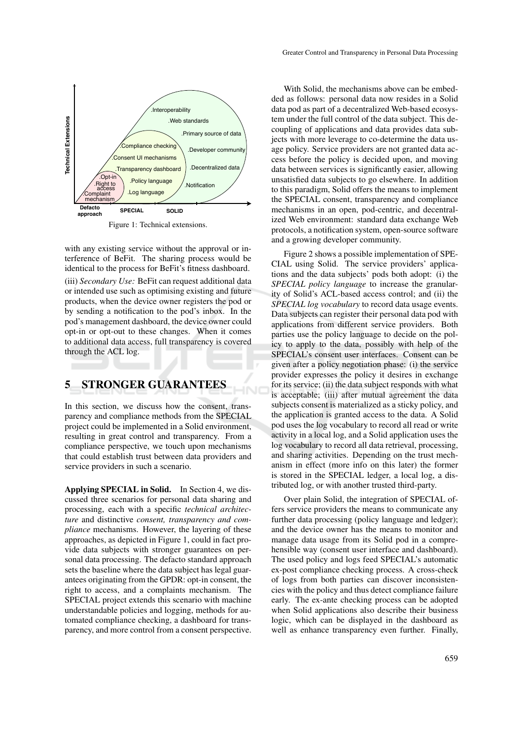

Figure 1: Technical extensions.

with any existing service without the approval or interference of BeFit. The sharing process would be identical to the process for BeFit's fitness dashboard.

(iii) *Secondary Use:* BeFit can request additional data or intended use such as optimising existing and future products, when the device owner registers the pod or by sending a notification to the pod's inbox. In the pod's management dashboard, the device owner could opt-in or opt-out to these changes. When it comes to additional data access, full transparency is covered through the ACL log.

## 5 STRONGER GUARANTEES

In this section, we discuss how the consent, transparency and compliance methods from the SPECIAL project could be implemented in a Solid environment, resulting in great control and transparency. From a compliance perspective, we touch upon mechanisms that could establish trust between data providers and service providers in such a scenario.

Applying SPECIAL in Solid. In Section 4, we discussed three scenarios for personal data sharing and processing, each with a specific *technical architecture* and distinctive *consent, transparency and compliance* mechanisms. However, the layering of these approaches, as depicted in Figure 1, could in fact provide data subjects with stronger guarantees on personal data processing. The defacto standard approach sets the baseline where the data subject has legal guarantees originating from the GPDR: opt-in consent, the right to access, and a complaints mechanism. The SPECIAL project extends this scenario with machine understandable policies and logging, methods for automated compliance checking, a dashboard for transparency, and more control from a consent perspective.

With Solid, the mechanisms above can be embedded as follows: personal data now resides in a Solid data pod as part of a decentralized Web-based ecosystem under the full control of the data subject. This decoupling of applications and data provides data subjects with more leverage to co-determine the data usage policy. Service providers are not granted data access before the policy is decided upon, and moving data between services is significantly easier, allowing unsatisfied data subjects to go elsewhere. In addition to this paradigm, Solid offers the means to implement the SPECIAL consent, transparency and compliance mechanisms in an open, pod-centric, and decentralized Web environment: standard data exchange Web protocols, a notification system, open-source software and a growing developer community.

Figure 2 shows a possible implementation of SPE-CIAL using Solid. The service providers' applications and the data subjects' pods both adopt: (i) the *SPECIAL policy language* to increase the granularity of Solid's ACL-based access control; and (ii) the *SPECIAL log vocabulary* to record data usage events. Data subjects can register their personal data pod with applications from different service providers. Both parties use the policy language to decide on the policy to apply to the data, possibly with help of the SPECIAL's consent user interfaces. Consent can be given after a policy negotiation phase: (i) the service provider expresses the policy it desires in exchange for its service; (ii) the data subject responds with what is acceptable; (iii) after mutual agreement the data subjects consent is materialized as a sticky policy, and the application is granted access to the data. A Solid pod uses the log vocabulary to record all read or write activity in a local log, and a Solid application uses the log vocabulary to record all data retrieval, processing, and sharing activities. Depending on the trust mechanism in effect (more info on this later) the former is stored in the SPECIAL ledger, a local log, a distributed log, or with another trusted third-party.

Over plain Solid, the integration of SPECIAL offers service providers the means to communicate any further data processing (policy language and ledger); and the device owner has the means to monitor and manage data usage from its Solid pod in a comprehensible way (consent user interface and dashboard). The used policy and logs feed SPECIAL's automatic ex-post compliance checking process. A cross-check of logs from both parties can discover inconsistencies with the policy and thus detect compliance failure early. The ex-ante checking process can be adopted when Solid applications also describe their business logic, which can be displayed in the dashboard as well as enhance transparency even further. Finally,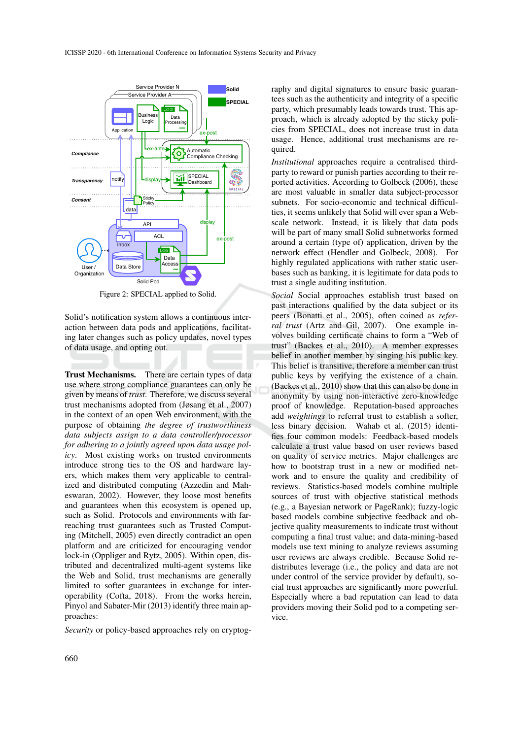

Figure 2: SPECIAL applied to Solid.

Solid's notification system allows a continuous interaction between data pods and applications, facilitating later changes such as policy updates, novel types of data usage, and opting out.

Trust Mechanisms. There are certain types of data use where strong compliance guarantees can only be given by means of *trust*. Therefore, we discuss several trust mechanisms adopted from (Jøsang et al., 2007) in the context of an open Web environment, with the purpose of obtaining *the degree of trustworthiness data subjects assign to a data controller/processor for adhering to a jointly agreed upon data usage policy*. Most existing works on trusted environments introduce strong ties to the OS and hardware layers, which makes them very applicable to centralized and distributed computing (Azzedin and Maheswaran, 2002). However, they loose most benefits and guarantees when this ecosystem is opened up, such as Solid. Protocols and environments with farreaching trust guarantees such as Trusted Computing (Mitchell, 2005) even directly contradict an open platform and are criticized for encouraging vendor lock-in (Oppliger and Rytz, 2005). Within open, distributed and decentralized multi-agent systems like the Web and Solid, trust mechanisms are generally limited to softer guarantees in exchange for interoperability (Cofta, 2018). From the works herein, Pinyol and Sabater-Mir (2013) identify three main approaches:

*Security* or policy-based approaches rely on cryptog-

raphy and digital signatures to ensure basic guarantees such as the authenticity and integrity of a specific party, which presumably leads towards trust. This approach, which is already adopted by the sticky policies from SPECIAL, does not increase trust in data usage. Hence, additional trust mechanisms are required.

*Institutional* approaches require a centralised thirdparty to reward or punish parties according to their reported activities. According to Golbeck (2006), these are most valuable in smaller data subject-processor subnets. For socio-economic and technical difficulties, it seems unlikely that Solid will ever span a Webscale network. Instead, it is likely that data pods will be part of many small Solid subnetworks formed around a certain (type of) application, driven by the network effect (Hendler and Golbeck, 2008). For highly regulated applications with rather static userbases such as banking, it is legitimate for data pods to trust a single auditing institution.

*Social* Social approaches establish trust based on past interactions qualified by the data subject or its peers (Bonatti et al., 2005), often coined as *referral trust* (Artz and Gil, 2007). One example involves building certificate chains to form a "Web of trust" (Backes et al., 2010). A member expresses belief in another member by singing his public key. This belief is transitive, therefore a member can trust public keys by verifying the existence of a chain. (Backes et al., 2010) show that this can also be done in anonymity by using non-interactive zero-knowledge proof of knowledge. Reputation-based approaches add *weightings* to referral trust to establish a softer, less binary decision. Wahab et al. (2015) identifies four common models: Feedback-based models calculate a trust value based on user reviews based on quality of service metrics. Major challenges are how to bootstrap trust in a new or modified network and to ensure the quality and credibility of reviews. Statistics-based models combine multiple sources of trust with objective statistical methods (e.g., a Bayesian network or PageRank); fuzzy-logic based models combine subjective feedback and objective quality measurements to indicate trust without computing a final trust value; and data-mining-based models use text mining to analyze reviews assuming user reviews are always credible. Because Solid redistributes leverage (i.e., the policy and data are not under control of the service provider by default), social trust approaches are significantly more powerful. Especially where a bad reputation can lead to data providers moving their Solid pod to a competing service.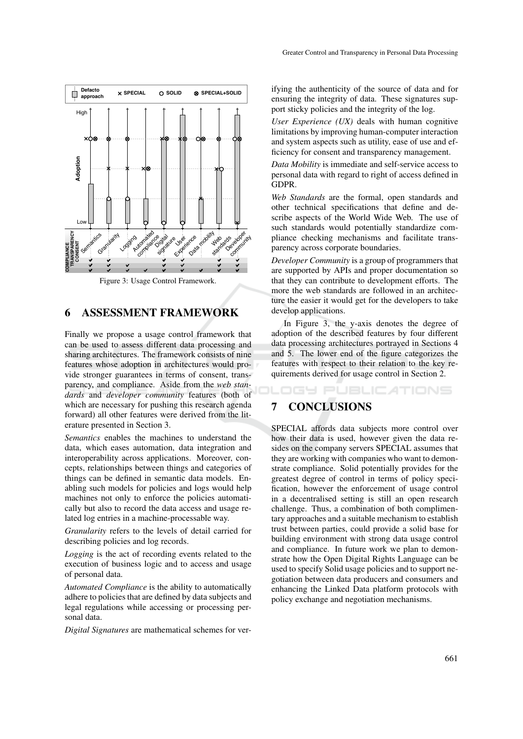

Figure 3: Usage Control Framework.

#### 6 ASSESSMENT FRAMEWORK

Finally we propose a usage control framework that can be used to assess different data processing and sharing architectures. The framework consists of nine features whose adoption in architectures would provide stronger guarantees in terms of consent, transparency, and compliance. Aside from the *web standards* and *developer community* features (both of which are necessary for pushing this research agenda forward) all other features were derived from the literature presented in Section 3.

*Semantics* enables the machines to understand the data, which eases automation, data integration and interoperability across applications. Moreover, concepts, relationships between things and categories of things can be defined in semantic data models. Enabling such models for policies and logs would help machines not only to enforce the policies automatically but also to record the data access and usage related log entries in a machine-processable way.

*Granularity* refers to the levels of detail carried for describing policies and log records.

*Logging* is the act of recording events related to the execution of business logic and to access and usage of personal data.

*Automated Compliance* is the ability to automatically adhere to policies that are defined by data subjects and legal regulations while accessing or processing personal data.

*Digital Signatures* are mathematical schemes for ver-

ifying the authenticity of the source of data and for ensuring the integrity of data. These signatures support sticky policies and the integrity of the log.

*User Experience (UX)* deals with human cognitive limitations by improving human-computer interaction and system aspects such as utility, ease of use and efficiency for consent and transparency management.

*Data Mobility* is immediate and self-service access to personal data with regard to right of access defined in GDPR.

*Web Standards* are the formal, open standards and other technical specifications that define and describe aspects of the World Wide Web. The use of such standards would potentially standardize compliance checking mechanisms and facilitate transparency across corporate boundaries.

*Developer Community* is a group of programmers that are supported by APIs and proper documentation so that they can contribute to development efforts. The more the web standards are followed in an architecture the easier it would get for the developers to take develop applications.

In Figure 3, the y-axis denotes the degree of adoption of the described features by four different data processing architectures portrayed in Sections 4 and 5. The lower end of the figure categorizes the features with respect to their relation to the key requirements derived for usage control in Section 2.

**IGY PUBLICATIONS** 

### 7 CONCLUSIONS

SPECIAL affords data subjects more control over how their data is used, however given the data resides on the company servers SPECIAL assumes that they are working with companies who want to demonstrate compliance. Solid potentially provides for the greatest degree of control in terms of policy specification, however the enforcement of usage control in a decentralised setting is still an open research challenge. Thus, a combination of both complimentary approaches and a suitable mechanism to establish trust between parties, could provide a solid base for building environment with strong data usage control and compliance. In future work we plan to demonstrate how the Open Digital Rights Language can be used to specify Solid usage policies and to support negotiation between data producers and consumers and enhancing the Linked Data platform protocols with policy exchange and negotiation mechanisms.